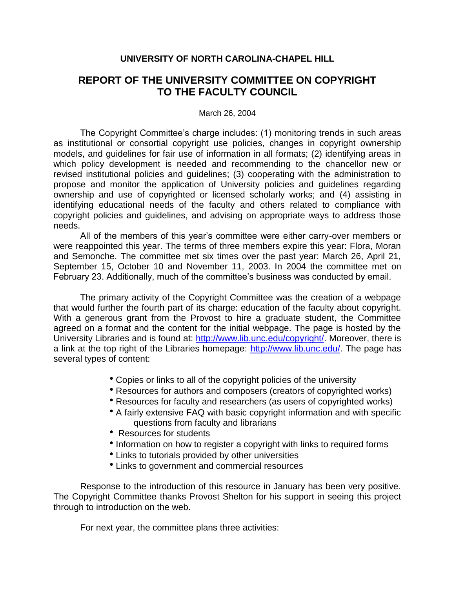## **UNIVERSITY OF NORTH CAROLINA-CHAPEL HILL**

## **REPORT OF THE UNIVERSITY COMMITTEE ON COPYRIGHT TO THE FACULTY COUNCIL**

March 26, 2004

The Copyright Committee's charge includes: (1) monitoring trends in such areas as institutional or consortial copyright use policies, changes in copyright ownership models, and guidelines for fair use of information in all formats; (2) identifying areas in which policy development is needed and recommending to the chancellor new or revised institutional policies and guidelines; (3) cooperating with the administration to propose and monitor the application of University policies and guidelines regarding ownership and use of copyrighted or licensed scholarly works; and (4) assisting in identifying educational needs of the faculty and others related to compliance with copyright policies and guidelines, and advising on appropriate ways to address those needs.

All of the members of this year's committee were either carry-over members or were reappointed this year. The terms of three members expire this year: Flora, Moran and Semonche. The committee met six times over the past year: March 26, April 21, September 15, October 10 and November 11, 2003. In 2004 the committee met on February 23. Additionally, much of the committee's business was conducted by email.

The primary activity of the Copyright Committee was the creation of a webpage that would further the fourth part of its charge: education of the faculty about copyright. With a generous grant from the Provost to hire a graduate student, the Committee agreed on a format and the content for the initial webpage. The page is hosted by the University Libraries and is found at: [http://www.lib.unc.edu/copyright/.](http://www.lib.unc.edu/copyright/) Moreover, there is a link at the top right of the Libraries homepage: [http://www.lib.unc.edu/.](http://www.lib.unc.edu/) The page has several types of content:

- Copies or links to all of the copyright policies of the university
- Resources for authors and composers (creators of copyrighted works)
- Resources for faculty and researchers (as users of copyrighted works)
- A fairly extensive FAQ with basic copyright information and with specific questions from faculty and librarians
- Resources for students
- Information on how to register a copyright with links to required forms
- Links to tutorials provided by other universities
- Links to government and commercial resources

Response to the introduction of this resource in January has been very positive. The Copyright Committee thanks Provost Shelton for his support in seeing this project through to introduction on the web.

For next year, the committee plans three activities: